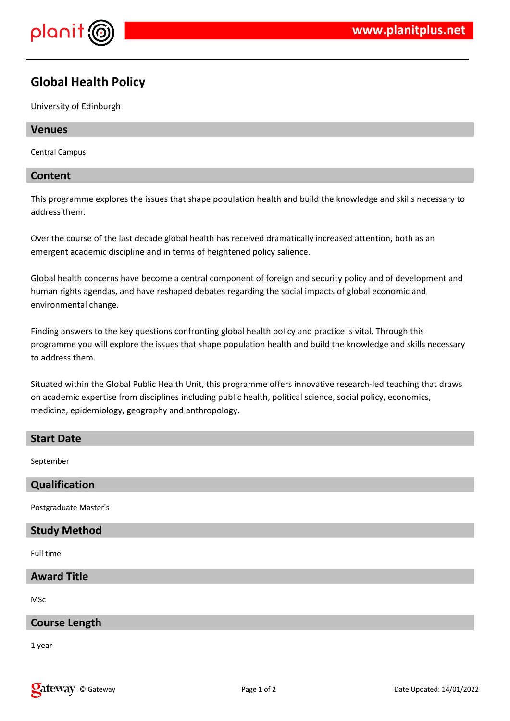

# **Global Health Policy**

University of Edinburgh

### **Venues**

Central Campus

## **Content**

This programme explores the issues that shape population health and build the knowledge and skills necessary to address them.

Over the course of the last decade global health has received dramatically increased attention, both as an emergent academic discipline and in terms of heightened policy salience.

Global health concerns have become a central component of foreign and security policy and of development and human rights agendas, and have reshaped debates regarding the social impacts of global economic and environmental change.

Finding answers to the key questions confronting global health policy and practice is vital. Through this programme you will explore the issues that shape population health and build the knowledge and skills necessary to address them.

Situated within the Global Public Health Unit, this programme offers innovative research-led teaching that draws on academic expertise from disciplines including public health, political science, social policy, economics, medicine, epidemiology, geography and anthropology.

## **Start Date**

September

# **Qualification**

Postgraduate Master's

# **Study Method**

Full time

# **Award Title**

MSc

# **Course Length**

1 year